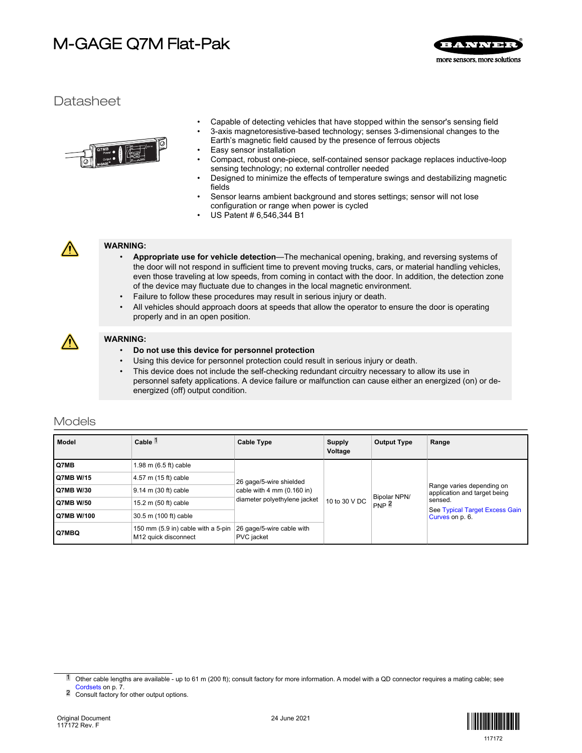# M-GAGE Q7M Flat-Pak



## **Datasheet**



- Capable of detecting vehicles that have stopped within the sensor's sensing field
- 3-axis magnetoresistive-based technology; senses 3-dimensional changes to the Earth's magnetic field caused by the presence of ferrous objects
- Easy sensor installation
- Compact, robust one-piece, self-contained sensor package replaces inductive-loop sensing technology; no external controller needed
- Designed to minimize the effects of temperature swings and destabilizing magnetic fields
- Sensor learns ambient background and stores settings; sensor will not lose configuration or range when power is cycled
- US Patent # 6,546,344 B1



### **WARNING:**

- **Appropriate use for vehicle detection**—The mechanical opening, braking, and reversing systems of the door will not respond in sufficient time to prevent moving trucks, cars, or material handling vehicles, even those traveling at low speeds, from coming in contact with the door. In addition, the detection zone of the device may fluctuate due to changes in the local magnetic environment.
- Failure to follow these procedures may result in serious injury or death.
- All vehicles should approach doors at speeds that allow the operator to ensure the door is operating properly and in an open position.



### **WARNING:**

- **Do not use this device for personnel protection**
- Using this device for personnel protection could result in serious injury or death.
- This device does not include the self-checking redundant circuitry necessary to allow its use in personnel safety applications. A device failure or malfunction can cause either an energized (on) or deenergized (off) output condition.

### Models

| l Model           | Cable <sup>1</sup>                                         | <b>Cable Type</b>                       | <b>Supply</b><br>Voltage | <b>Output Type</b>               | Range                                                                                                                     |
|-------------------|------------------------------------------------------------|-----------------------------------------|--------------------------|----------------------------------|---------------------------------------------------------------------------------------------------------------------------|
| Q7MB              | 1.98 m (6.5 ft) cable                                      |                                         | 10 to 30 V DC            | Bipolar NPN/<br>PNP <sup>2</sup> | Range varies depending on<br>application and target being<br>sensed.<br>See Typical Target Excess Gain<br>Curves on p. 6. |
| <b>Q7MB W/15</b>  | 4.57 m (15 ft) cable                                       | 26 gage/5-wire shielded                 |                          |                                  |                                                                                                                           |
| <b>Q7MB W/30</b>  | 9.14 m (30 ft) cable                                       | cable with 4 mm $(0.160$ in)            |                          |                                  |                                                                                                                           |
| <b>Q7MB W/50</b>  | 15.2 m (50 ft) cable                                       | diameter polyethylene jacket            |                          |                                  |                                                                                                                           |
| <b>Q7MB W/100</b> | 30.5 m (100 ft) cable                                      |                                         |                          |                                  |                                                                                                                           |
| <b>Q7MBQ</b>      | 150 mm (5.9 in) cable with a 5-pin<br>M12 quick disconnect | 26 gage/5-wire cable with<br>PVC jacket |                          |                                  |                                                                                                                           |



<sup>1</sup> Other cable lengths are available - up to 61 m (200 ft); consult factory for more information. A model with a QD connector requires a mating cable; see [Cordsets](#page-6-0) on p. 7.

<sup>2</sup> Consult factory for other output options.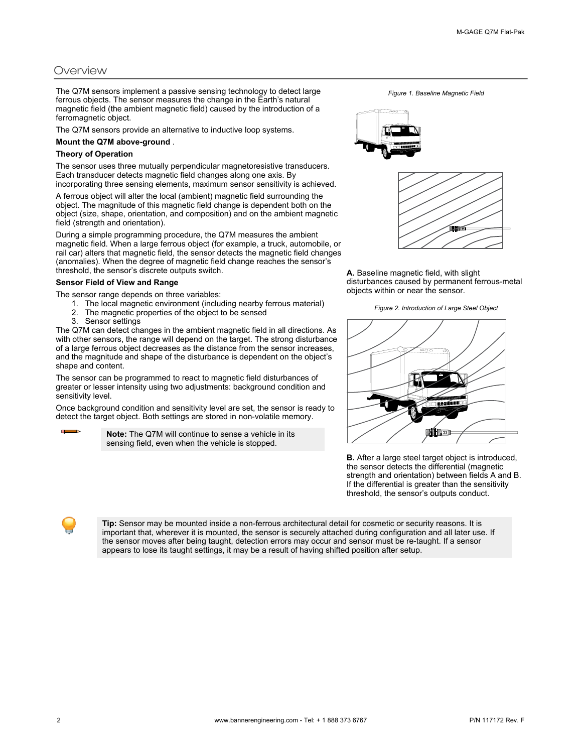### **Overview**

The Q7M sensors implement a passive sensing technology to detect large ferrous objects. The sensor measures the change in the Earth's natural magnetic field (the ambient magnetic field) caused by the introduction of a ferromagnetic object.

The Q7M sensors provide an alternative to inductive loop systems.

#### **Mount the Q7M above-ground** .

#### **Theory of Operation**

The sensor uses three mutually perpendicular magnetoresistive transducers. Each transducer detects magnetic field changes along one axis. By incorporating three sensing elements, maximum sensor sensitivity is achieved.

A ferrous object will alter the local (ambient) magnetic field surrounding the object. The magnitude of this magnetic field change is dependent both on the object (size, shape, orientation, and composition) and on the ambient magnetic field (strength and orientation).

During a simple programming procedure, the Q7M measures the ambient magnetic field. When a large ferrous object (for example, a truck, automobile, or rail car) alters that magnetic field, the sensor detects the magnetic field changes (anomalies). When the degree of magnetic field change reaches the sensor's threshold, the sensor's discrete outputs switch.

### **Sensor Field of View and Range**

- The sensor range depends on three variables:
	- 1. The local magnetic environment (including nearby ferrous material) 2. The magnetic properties of the object to be sensed
	- 3. Sensor settings

The Q7M can detect changes in the ambient magnetic field in all directions. As with other sensors, the range will depend on the target. The strong disturbance of a large ferrous object decreases as the distance from the sensor increases, and the magnitude and shape of the disturbance is dependent on the object's shape and content.

The sensor can be programmed to react to magnetic field disturbances of greater or lesser intensity using two adjustments: background condition and sensitivity level.

Once background condition and sensitivity level are set, the sensor is ready to detect the target object. Both settings are stored in non-volatile memory.

> **Note:** The Q7M will continue to sense a vehicle in its sensing field, even when the vehicle is stopped.

*Figure 1. Baseline Magnetic Field*





**A.** Baseline magnetic field, with slight disturbances caused by permanent ferrous-metal objects within or near the sensor.

*Figure 2. Introduction of Large Steel Object*



**B.** After a large steel target object is introduced, the sensor detects the differential (magnetic strength and orientation) between fields A and B. If the differential is greater than the sensitivity threshold, the sensor's outputs conduct.

**Tip:** Sensor may be mounted inside a non-ferrous architectural detail for cosmetic or security reasons. It is important that, wherever it is mounted, the sensor is securely attached during configuration and all later use. If the sensor moves after being taught, detection errors may occur and sensor must be re-taught. If a sensor appears to lose its taught settings, it may be a result of having shifted position after setup.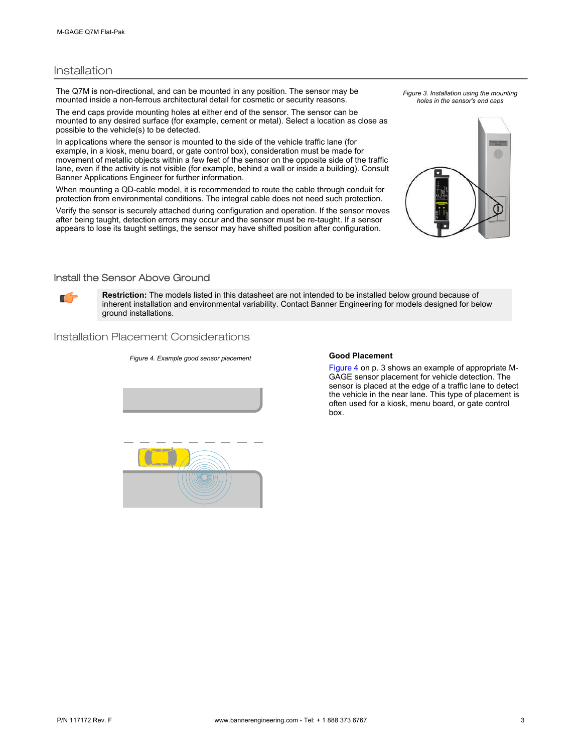### Installation

The Q7M is non-directional, and can be mounted in any position. The sensor may be mounted inside a non-ferrous architectural detail for cosmetic or security reasons.

The end caps provide mounting holes at either end of the sensor. The sensor can be mounted to any desired surface (for example, cement or metal). Select a location as close as possible to the vehicle(s) to be detected.

In applications where the sensor is mounted to the side of the vehicle traffic lane (for example, in a kiosk, menu board, or gate control box), consideration must be made for movement of metallic objects within a few feet of the sensor on the opposite side of the traffic lane, even if the activity is not visible (for example, behind a wall or inside a building). Consult Banner Applications Engineer for further information.

When mounting a QD-cable model, it is recommended to route the cable through conduit for protection from environmental conditions. The integral cable does not need such protection.

Verify the sensor is securely attached during configuration and operation. If the sensor moves after being taught, detection errors may occur and the sensor must be re-taught. If a sensor appears to lose its taught settings, the sensor may have shifted position after configuration.

*Figure 3. Installation using the mounting holes in the sensor's end caps*



### Install the Sensor Above Ground



**Restriction:** The models listed in this datasheet are not intended to be installed below ground because of inherent installation and environmental variability. Contact Banner Engineering for models designed for below ground installations.

### Installation Placement Considerations

*Figure 4. Example good sensor placement* **Good Placement**



Figure 4 on p. 3 shows an example of appropriate M-GAGE sensor placement for vehicle detection. The sensor is placed at the edge of a traffic lane to detect the vehicle in the near lane. This type of placement is often used for a kiosk, menu board, or gate control box.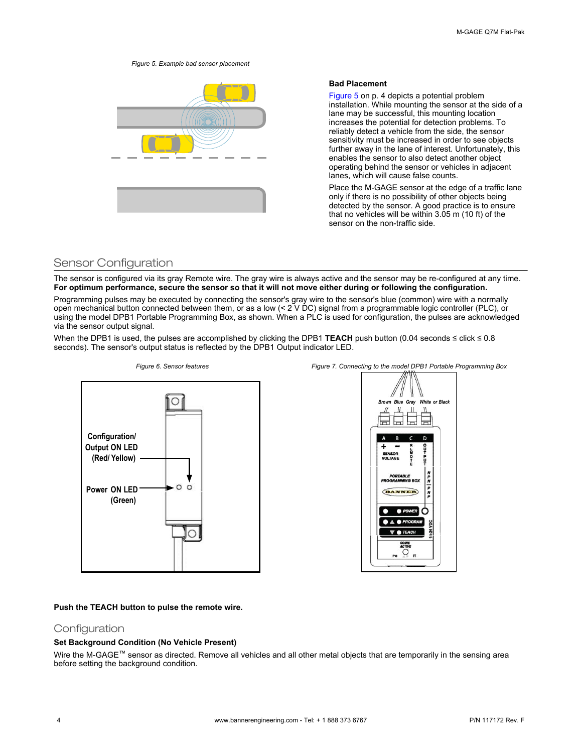#### *Figure 5. Example bad sensor placement*



#### **Bad Placement**

Figure 5 on p. 4 depicts a potential problem installation. While mounting the sensor at the side of a lane may be successful, this mounting location increases the potential for detection problems. To reliably detect a vehicle from the side, the sensor sensitivity must be increased in order to see objects further away in the lane of interest. Unfortunately, this enables the sensor to also detect another object operating behind the sensor or vehicles in adjacent lanes, which will cause false counts.

Place the M-GAGE sensor at the edge of a traffic lane only if there is no possibility of other objects being detected by the sensor. A good practice is to ensure that no vehicles will be within 3.05 m (10 ft) of the sensor on the non-traffic side.

### Sensor Configuration

The sensor is configured via its gray Remote wire. The gray wire is always active and the sensor may be re-configured at any time. **For optimum performance, secure the sensor so that it will not move either during or following the configuration.**

Programming pulses may be executed by connecting the sensor's gray wire to the sensor's blue (common) wire with a normally open mechanical button connected between them, or as a low (< 2 V DC) signal from a programmable logic controller (PLC), or using the model DPB1 Portable Programming Box, as shown. When a PLC is used for configuration, the pulses are acknowledged *Configuration/ Output ON LED* via the sensor output signal.

When the DPB1 is used, the pulses are accomplished by clicking the DPB1 **TEACH** push button (0.04 seconds ≤ click ≤ 0.8 seconds). The sensor's output status is reflected by the DPB1 Output indicator LED.







#### **Push the TEACH button to pulse the remote wire.**

### Configuration

### **Set Background Condition (No Vehicle Present)**

Wire the M-GAGE™ sensor as directed. Remove all vehicles and all other metal objects that are temporarily in the sensing area before setting the background condition.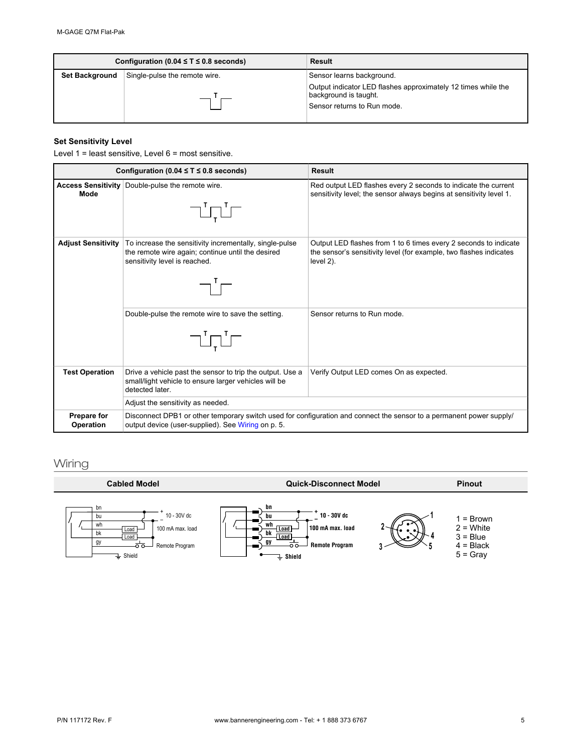| Configuration (0.04 $\leq$ T $\leq$ 0.8 seconds) |                               | Result                                                                                                                |  |  |
|--------------------------------------------------|-------------------------------|-----------------------------------------------------------------------------------------------------------------------|--|--|
| <b>Set Background</b>                            | Single-pulse the remote wire. | Sensor learns background.                                                                                             |  |  |
|                                                  |                               | Output indicator LED flashes approximately 12 times while the<br>background is taught.<br>Sensor returns to Run mode. |  |  |

### **Set Sensitivity Level**

Level 1 = least sensitive, Level 6 = most sensitive.

| Configuration (0.04 $\leq$ T $\leq$ 0.8 seconds) |                                                                                                                                                                                                                                                                                                                                                                                                                                  | Result                                                                                                                                                 |  |  |
|--------------------------------------------------|----------------------------------------------------------------------------------------------------------------------------------------------------------------------------------------------------------------------------------------------------------------------------------------------------------------------------------------------------------------------------------------------------------------------------------|--------------------------------------------------------------------------------------------------------------------------------------------------------|--|--|
| Mode                                             | Access Sensitivity   Double-pulse the remote wire.<br>$\begin{picture}(20,5) \put(0,0) {\line(0,1){10}} \put(15,0) {\line(0,1){10}} \put(15,0) {\line(0,1){10}} \put(15,0) {\line(0,1){10}} \put(15,0) {\line(0,1){10}} \put(15,0) {\line(0,1){10}} \put(15,0) {\line(0,1){10}} \put(15,0) {\line(0,1){10}} \put(15,0) {\line(0,1){10}} \put(15,0) {\line(0,1){10}} \put(15,0) {\line(0,1){10}} \put(15,0) {\line(0,$            | Red output LED flashes every 2 seconds to indicate the current<br>sensitivity level; the sensor always begins at sensitivity level 1.                  |  |  |
| <b>Adjust Sensitivity</b>                        | To increase the sensitivity incrementally, single-pulse<br>the remote wire again; continue until the desired<br>sensitivity level is reached.<br>┐'┌                                                                                                                                                                                                                                                                             | Output LED flashes from 1 to 6 times every 2 seconds to indicate<br>the sensor's sensitivity level (for example, two flashes indicates<br>$level 2$ ). |  |  |
|                                                  | Double-pulse the remote wire to save the setting.<br>$\begin{picture}(20,20) \put(0,0){\dashbox{0.5}(5,0){ }} \put(15,0){\dashbox{0.5}(5,0){ }} \put(15,0){\dashbox{0.5}(5,0){ }} \put(15,0){\dashbox{0.5}(5,0){ }} \put(15,0){\dashbox{0.5}(5,0){ }} \put(15,0){\dashbox{0.5}(5,0){ }} \put(15,0){\dashbox{0.5}(5,0){ }} \put(15,0){\dashbox{0.5}(5,0){ }} \put(15,0){\dashbox{0.5}(5,0){ }} \put(15,0){\dashbox{0.5}(5,0){ }}$ | Sensor returns to Run mode.                                                                                                                            |  |  |
| <b>Test Operation</b>                            | Drive a vehicle past the sensor to trip the output. Use a<br>small/light vehicle to ensure larger vehicles will be<br>detected later.                                                                                                                                                                                                                                                                                            | Verify Output LED comes On as expected.                                                                                                                |  |  |
|                                                  | Adjust the sensitivity as needed.                                                                                                                                                                                                                                                                                                                                                                                                |                                                                                                                                                        |  |  |
| <b>Prepare for</b><br><b>Operation</b>           | Disconnect DPB1 or other temporary switch used for configuration and connect the sensor to a permanent power supply/<br>output device (user-supplied). See Wiring on p. 5.                                                                                                                                                                                                                                                       |                                                                                                                                                        |  |  |

### Wiring

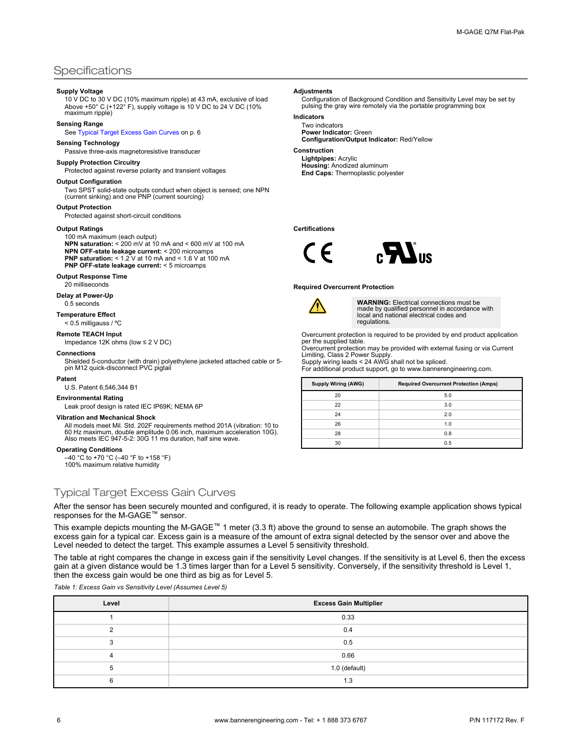### <span id="page-5-0"></span>**Specifications**

#### **Supply Voltage**

10 V DC to 30 V DC (10% maximum ripple) at 43 mA, exclusive of load Above +50° C (+122° F), supply voltage is 10 V DC to 24 V DC (10% maximum ripple)

#### **Sensing Range**

See Typical Target Excess Gain Curves on p. 6

#### **Sensing Technology**

Passive three-axis magnetoresistive transducer

#### **Supply Protection Circuitry**

Protected against reverse polarity and transient voltages

#### **Output Configuration**

Two SPST solid-state outputs conduct when object is sensed; one NPN (current sinking) and one PNP (current sourcing)

#### **Output Protection**

Protected against short-circuit conditions

#### **Output Ratings**

100 mA maximum (each output) **NPN saturation:** < 200 mV at 10 mA and < 600 mV at 100 mA **NPN OFF-state leakage current:** < 200 microamps **PNP saturation:** < 1.2 V at 10 mA and < 1.6 V at 100 mA **PNP OFF-state leakage current:** < 5 microamps

#### **Output Response Time**

20 milliseconds

#### **Delay at Power-Up** 0.5 seconds

**Temperature Effect**

#### < 0.5 milligauss / ºC

**Remote TEACH Input**

#### Impedance 12K ohms (low ≤ 2 V DC)

#### **Connections**

Shielded 5-conductor (with drain) polyethylene jacketed attached cable or 5 pin M12 quick-disconnect PVC pigtail

#### **Patent**

U.S. Patent 6,546,344 B1

#### **Environmental Rating**

Leak proof design is rated IEC IP69K; NEMA 6P

#### **Vibration and Mechanical Shock**

All models meet Mil. Std. 202F requirements method 201A (vibration: 10 to<br>60 Hz maximum, double amplitude 0.06 inch, maximum acceleration 10G).<br>Also meets IEC 947-5-2: 30G 11 ms duration, half sine wave.

#### **Operating Conditions**

–40 °C to +70 °C (–40 °F to +158 °F) 100% maximum relative humidity

### Typical Target Excess Gain Curves



This example depicts mounting the M-GAGE™ 1 meter (3.3 ft) above the ground to sense an automobile. The graph shows the excess gain for a typical car. Excess gain is a measure of the amount of extra signal detected by the sensor over and above the Level needed to detect the target. This example assumes a Level 5 sensitivity threshold.

The table at right compares the change in excess gain if the sensitivity Level changes. If the sensitivity is at Level 6, then the excess gain at a given distance would be 1.3 times larger than for a Level 5 sensitivity. Conversely, if the sensitivity threshold is Level 1, then the excess gain would be one third as big as for Level 5.

#### *Table 1: Excess Gain vs Sensitivity Level (Assumes Level 5)*

| Level | <b>Excess Gain Multiplier</b> |
|-------|-------------------------------|
|       | 0.33                          |
| C     | 0.4                           |
|       | 0.5                           |
|       | 0.66                          |
| 5     | 1.0 (default)                 |
|       | 1.3                           |

#### **Adjustments**

Configuration of Background Condition and Sensitivity Level may be set by pulsing the gray wire remotely via the portable programming box

#### **Indicators**

Two indicators **Power Indicator:** Green **Configuration/Output Indicator:** Red/Yellow

### **Construction**

**Lightpipes:** Acrylic **Housing:** Anodized aluminum **End Caps:** Thermoplastic polyester

#### **Certifications**



#### **Required Overcurrent Protection**



**WARNING:** Electrical connections must be made by qualified personnel in accordance with local and national electrical codes and regulations.

Overcurrent protection is required to be provided by end product application per the supplied table.

Overcurrent protection may be provided with external fusing or via Current Limiting, Class 2 Power Supply. Supply wiring leads < 24 AWG shall not be spliced.

For additional product support, go to www.bannerengineering.com.

| <b>Supply Wiring (AWG)</b> | <b>Required Overcurrent Protection (Amps)</b> |
|----------------------------|-----------------------------------------------|
| 20                         | 5.0                                           |
| 22                         | 3.0                                           |
| 24                         | 2.0                                           |
| 26                         | 1.0                                           |
| 28                         | 0.8                                           |
| 30                         | 0.5                                           |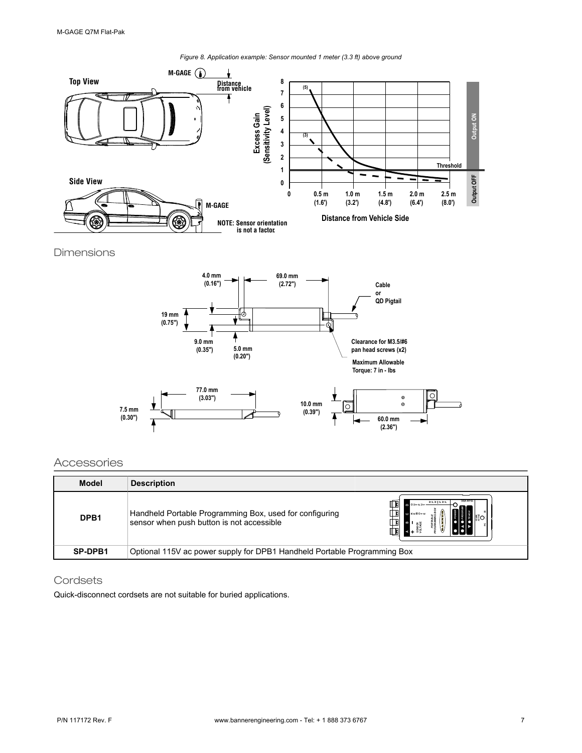<span id="page-6-0"></span>

**Dimensions** 



### Accessories

| <b>Model</b>     | <b>Description</b>                                                                                                                                                                    |  |  |
|------------------|---------------------------------------------------------------------------------------------------------------------------------------------------------------------------------------|--|--|
| DPB <sub>1</sub> | 202020<br>π<br>Handheld Portable Programming Box, used for configuring<br>$\alpha \omega \Sigma$ O <sub>H</sub> w<br>sensor when push button is not accessible<br>PORTA<br>SOR<br>AGE |  |  |
| SP-DPB1          | Optional 115V ac power supply for DPB1 Handheld Portable Programming Box                                                                                                              |  |  |

### **Cordsets**

Quick-disconnect cordsets are not suitable for buried applications.